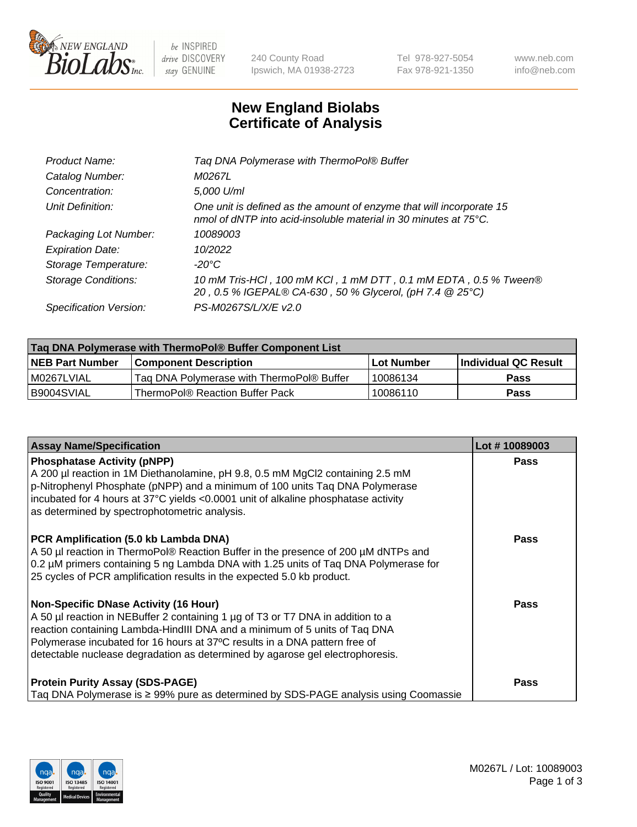

 $be$  INSPIRED drive DISCOVERY stay GENUINE

240 County Road Ipswich, MA 01938-2723 Tel 978-927-5054 Fax 978-921-1350 www.neb.com info@neb.com

## **New England Biolabs Certificate of Analysis**

| Tag DNA Polymerase with ThermoPol® Buffer                                                                                                |
|------------------------------------------------------------------------------------------------------------------------------------------|
| M0267L                                                                                                                                   |
| 5,000 U/ml                                                                                                                               |
| One unit is defined as the amount of enzyme that will incorporate 15<br>nmol of dNTP into acid-insoluble material in 30 minutes at 75°C. |
| 10089003                                                                                                                                 |
| 10/2022                                                                                                                                  |
| $-20^{\circ}$ C                                                                                                                          |
| 10 mM Tris-HCl, 100 mM KCl, 1 mM DTT, 0.1 mM EDTA, 0.5 % Tween®<br>20, 0.5 % IGEPAL® CA-630, 50 % Glycerol, (pH 7.4 @ 25°C)              |
| PS-M0267S/L/X/E v2.0                                                                                                                     |
|                                                                                                                                          |

| ∣Taq DNA Polymerase with ThermoPol® Buffer Component List |                                           |                   |                      |  |  |
|-----------------------------------------------------------|-------------------------------------------|-------------------|----------------------|--|--|
| <b>NEB Part Number</b>                                    | <b>Component Description</b>              | <b>Lot Number</b> | Individual QC Result |  |  |
| I M0267LVIAL                                              | Tag DNA Polymerase with ThermoPol® Buffer | 10086134          | Pass                 |  |  |
| B9004SVIAL                                                | ThermoPol® Reaction Buffer Pack           | 10086110          | Pass                 |  |  |

| <b>Assay Name/Specification</b>                                                                                                                                                                                                                                                                                                                                              | Lot #10089003 |
|------------------------------------------------------------------------------------------------------------------------------------------------------------------------------------------------------------------------------------------------------------------------------------------------------------------------------------------------------------------------------|---------------|
| <b>Phosphatase Activity (pNPP)</b><br>A 200 µl reaction in 1M Diethanolamine, pH 9.8, 0.5 mM MgCl2 containing 2.5 mM<br>p-Nitrophenyl Phosphate (pNPP) and a minimum of 100 units Taq DNA Polymerase<br>incubated for 4 hours at 37°C yields <0.0001 unit of alkaline phosphatase activity<br>as determined by spectrophotometric analysis.                                  | <b>Pass</b>   |
| PCR Amplification (5.0 kb Lambda DNA)<br>A 50 µl reaction in ThermoPol® Reaction Buffer in the presence of 200 µM dNTPs and<br>0.2 µM primers containing 5 ng Lambda DNA with 1.25 units of Taq DNA Polymerase for<br>25 cycles of PCR amplification results in the expected 5.0 kb product.                                                                                 | <b>Pass</b>   |
| <b>Non-Specific DNase Activity (16 Hour)</b><br>A 50 µl reaction in NEBuffer 2 containing 1 µg of T3 or T7 DNA in addition to a<br>reaction containing Lambda-HindIII DNA and a minimum of 5 units of Taq DNA<br>Polymerase incubated for 16 hours at 37°C results in a DNA pattern free of<br>detectable nuclease degradation as determined by agarose gel electrophoresis. | <b>Pass</b>   |
| <b>Protein Purity Assay (SDS-PAGE)</b><br>Taq DNA Polymerase is $\geq$ 99% pure as determined by SDS-PAGE analysis using Coomassie                                                                                                                                                                                                                                           | Pass          |

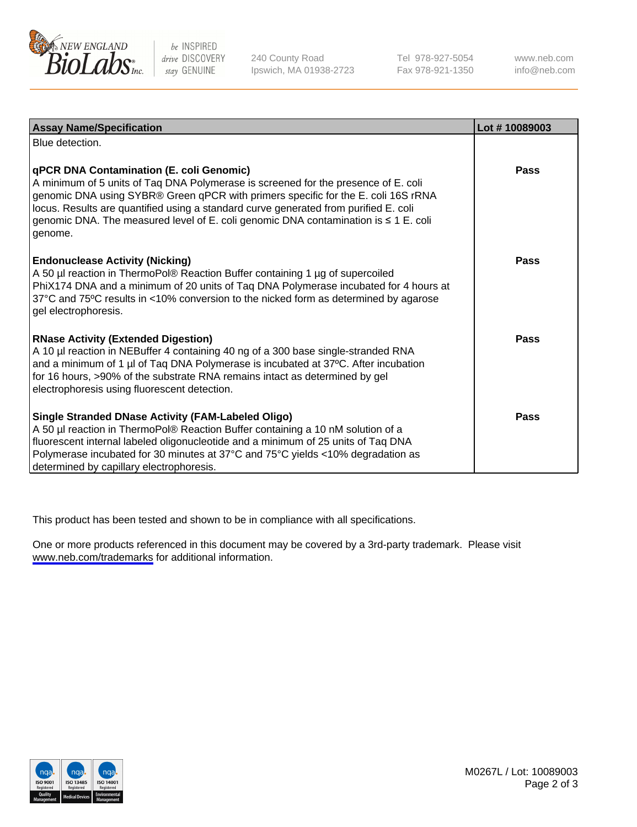

be INSPIRED drive DISCOVERY stay GENUINE

240 County Road Ipswich, MA 01938-2723 Tel 978-927-5054 Fax 978-921-1350

www.neb.com info@neb.com

| <b>Assay Name/Specification</b>                                                                                                                                                                                                                                                                                                                                                                               | Lot #10089003 |
|---------------------------------------------------------------------------------------------------------------------------------------------------------------------------------------------------------------------------------------------------------------------------------------------------------------------------------------------------------------------------------------------------------------|---------------|
| Blue detection.                                                                                                                                                                                                                                                                                                                                                                                               |               |
| qPCR DNA Contamination (E. coli Genomic)<br>A minimum of 5 units of Taq DNA Polymerase is screened for the presence of E. coli<br>genomic DNA using SYBR® Green qPCR with primers specific for the E. coli 16S rRNA<br>locus. Results are quantified using a standard curve generated from purified E. coli<br>genomic DNA. The measured level of E. coli genomic DNA contamination is ≤ 1 E. coli<br>genome. | <b>Pass</b>   |
| <b>Endonuclease Activity (Nicking)</b><br>A 50 µl reaction in ThermoPol® Reaction Buffer containing 1 µg of supercoiled<br>PhiX174 DNA and a minimum of 20 units of Taq DNA Polymerase incubated for 4 hours at<br>37°C and 75°C results in <10% conversion to the nicked form as determined by agarose<br>gel electrophoresis.                                                                               | Pass          |
| <b>RNase Activity (Extended Digestion)</b><br>A 10 µl reaction in NEBuffer 4 containing 40 ng of a 300 base single-stranded RNA<br>and a minimum of 1 µl of Taq DNA Polymerase is incubated at 37°C. After incubation<br>for 16 hours, >90% of the substrate RNA remains intact as determined by gel<br>electrophoresis using fluorescent detection.                                                          | Pass          |
| <b>Single Stranded DNase Activity (FAM-Labeled Oligo)</b><br>A 50 µl reaction in ThermoPol® Reaction Buffer containing a 10 nM solution of a<br>fluorescent internal labeled oligonucleotide and a minimum of 25 units of Taq DNA<br>Polymerase incubated for 30 minutes at 37°C and 75°C yields <10% degradation as<br>determined by capillary electrophoresis.                                              | Pass          |

This product has been tested and shown to be in compliance with all specifications.

One or more products referenced in this document may be covered by a 3rd-party trademark. Please visit <www.neb.com/trademarks>for additional information.